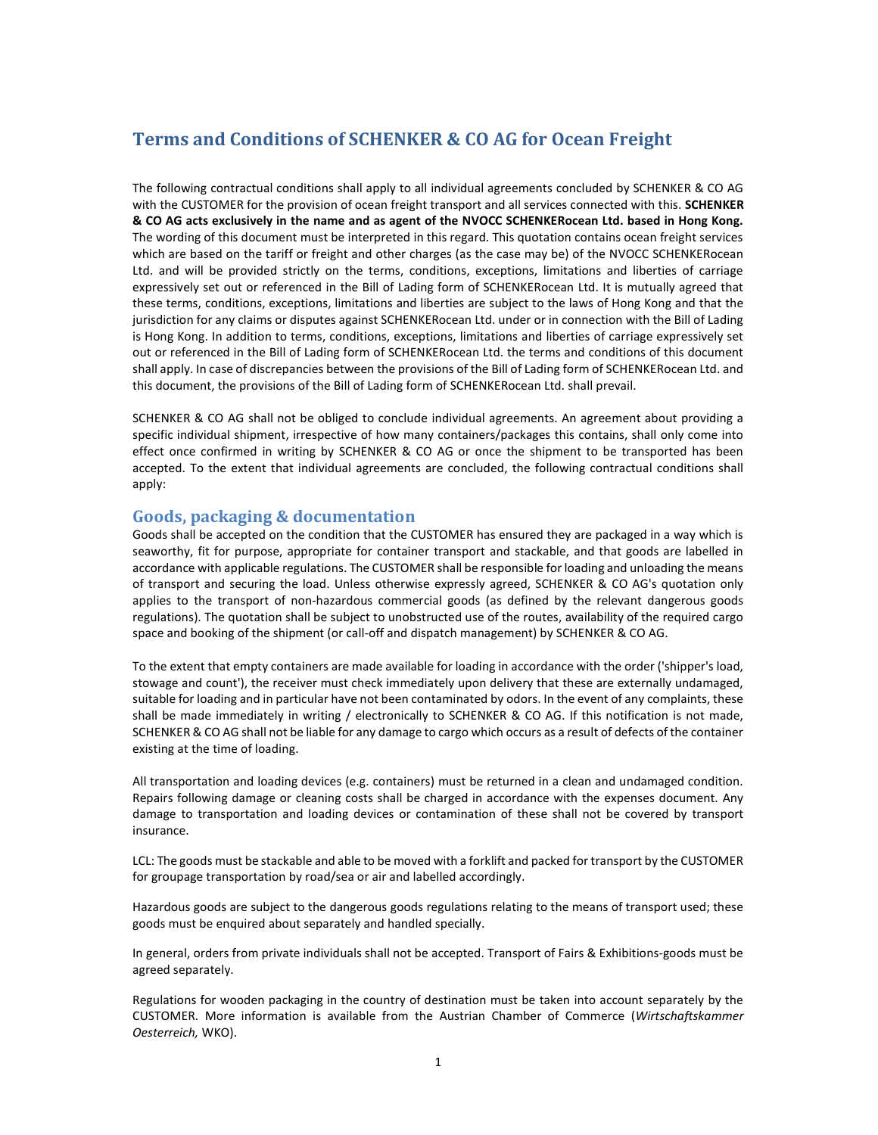# Terms and Conditions of SCHENKER & CO AG for Ocean Freight

The following contractual conditions shall apply to all individual agreements concluded by SCHENKER & CO AG with the CUSTOMER for the provision of ocean freight transport and all services connected with this. SCHENKER & CO AG acts exclusively in the name and as agent of the NVOCC SCHENKERocean Ltd. based in Hong Kong. The wording of this document must be interpreted in this regard. This quotation contains ocean freight services which are based on the tariff or freight and other charges (as the case may be) of the NVOCC SCHENKERocean Ltd. and will be provided strictly on the terms, conditions, exceptions, limitations and liberties of carriage expressively set out or referenced in the Bill of Lading form of SCHENKERocean Ltd. It is mutually agreed that these terms, conditions, exceptions, limitations and liberties are subject to the laws of Hong Kong and that the jurisdiction for any claims or disputes against SCHENKERocean Ltd. under or in connection with the Bill of Lading is Hong Kong. In addition to terms, conditions, exceptions, limitations and liberties of carriage expressively set out or referenced in the Bill of Lading form of SCHENKERocean Ltd. the terms and conditions of this document shall apply. In case of discrepancies between the provisions of the Bill of Lading form of SCHENKERocean Ltd. and this document, the provisions of the Bill of Lading form of SCHENKERocean Ltd. shall prevail.

SCHENKER & CO AG shall not be obliged to conclude individual agreements. An agreement about providing a specific individual shipment, irrespective of how many containers/packages this contains, shall only come into effect once confirmed in writing by SCHENKER & CO AG or once the shipment to be transported has been accepted. To the extent that individual agreements are concluded, the following contractual conditions shall apply:

# Goods, packaging & documentation

Goods shall be accepted on the condition that the CUSTOMER has ensured they are packaged in a way which is seaworthy, fit for purpose, appropriate for container transport and stackable, and that goods are labelled in accordance with applicable regulations. The CUSTOMER shall be responsible for loading and unloading the means of transport and securing the load. Unless otherwise expressly agreed, SCHENKER & CO AG's quotation only applies to the transport of non-hazardous commercial goods (as defined by the relevant dangerous goods regulations). The quotation shall be subject to unobstructed use of the routes, availability of the required cargo space and booking of the shipment (or call-off and dispatch management) by SCHENKER & CO AG.

To the extent that empty containers are made available for loading in accordance with the order ('shipper's load, stowage and count'), the receiver must check immediately upon delivery that these are externally undamaged, suitable for loading and in particular have not been contaminated by odors. In the event of any complaints, these shall be made immediately in writing / electronically to SCHENKER & CO AG. If this notification is not made, SCHENKER & CO AG shall not be liable for any damage to cargo which occurs as a result of defects of the container existing at the time of loading.

All transportation and loading devices (e.g. containers) must be returned in a clean and undamaged condition. Repairs following damage or cleaning costs shall be charged in accordance with the expenses document. Any damage to transportation and loading devices or contamination of these shall not be covered by transport insurance.

LCL: The goods must be stackable and able to be moved with a forklift and packed for transport by the CUSTOMER for groupage transportation by road/sea or air and labelled accordingly.

Hazardous goods are subject to the dangerous goods regulations relating to the means of transport used; these goods must be enquired about separately and handled specially.

In general, orders from private individuals shall not be accepted. Transport of Fairs & Exhibitions-goods must be agreed separately.

Regulations for wooden packaging in the country of destination must be taken into account separately by the CUSTOMER. More information is available from the Austrian Chamber of Commerce (Wirtschaftskammer Oesterreich, WKO).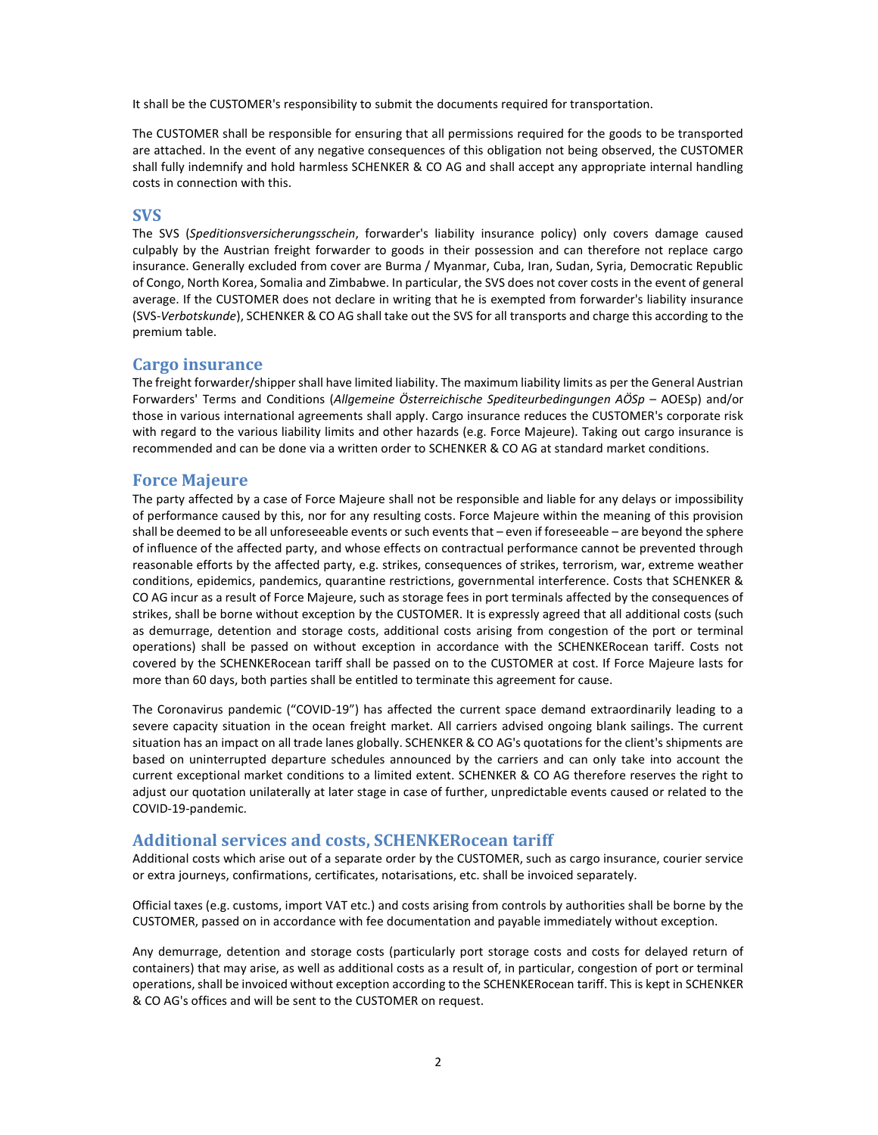It shall be the CUSTOMER's responsibility to submit the documents required for transportation.

The CUSTOMER shall be responsible for ensuring that all permissions required for the goods to be transported are attached. In the event of any negative consequences of this obligation not being observed, the CUSTOMER shall fully indemnify and hold harmless SCHENKER & CO AG and shall accept any appropriate internal handling costs in connection with this.

## SVS

The SVS (Speditionsversicherungsschein, forwarder's liability insurance policy) only covers damage caused culpably by the Austrian freight forwarder to goods in their possession and can therefore not replace cargo insurance. Generally excluded from cover are Burma / Myanmar, Cuba, Iran, Sudan, Syria, Democratic Republic of Congo, North Korea, Somalia and Zimbabwe. In particular, the SVS does not cover costs in the event of general average. If the CUSTOMER does not declare in writing that he is exempted from forwarder's liability insurance (SVS-Verbotskunde), SCHENKER & CO AG shall take out the SVS for all transports and charge this according to the premium table.

#### Cargo insurance

The freight forwarder/shipper shall have limited liability. The maximum liability limits as per the General Austrian Forwarders' Terms and Conditions (Allgemeine Österreichische Spediteurbedingungen AÖSp – AOESp) and/or those in various international agreements shall apply. Cargo insurance reduces the CUSTOMER's corporate risk with regard to the various liability limits and other hazards (e.g. Force Majeure). Taking out cargo insurance is recommended and can be done via a written order to SCHENKER & CO AG at standard market conditions.

#### Force Majeure

The party affected by a case of Force Majeure shall not be responsible and liable for any delays or impossibility of performance caused by this, nor for any resulting costs. Force Majeure within the meaning of this provision shall be deemed to be all unforeseeable events or such events that – even if foreseeable – are beyond the sphere of influence of the affected party, and whose effects on contractual performance cannot be prevented through reasonable efforts by the affected party, e.g. strikes, consequences of strikes, terrorism, war, extreme weather conditions, epidemics, pandemics, quarantine restrictions, governmental interference. Costs that SCHENKER & CO AG incur as a result of Force Majeure, such as storage fees in port terminals affected by the consequences of strikes, shall be borne without exception by the CUSTOMER. It is expressly agreed that all additional costs (such as demurrage, detention and storage costs, additional costs arising from congestion of the port or terminal operations) shall be passed on without exception in accordance with the SCHENKERocean tariff. Costs not covered by the SCHENKERocean tariff shall be passed on to the CUSTOMER at cost. If Force Majeure lasts for more than 60 days, both parties shall be entitled to terminate this agreement for cause.

The Coronavirus pandemic ("COVID-19") has affected the current space demand extraordinarily leading to a severe capacity situation in the ocean freight market. All carriers advised ongoing blank sailings. The current situation has an impact on all trade lanes globally. SCHENKER & CO AG's quotations for the client's shipments are based on uninterrupted departure schedules announced by the carriers and can only take into account the current exceptional market conditions to a limited extent. SCHENKER & CO AG therefore reserves the right to adjust our quotation unilaterally at later stage in case of further, unpredictable events caused or related to the COVID-19-pandemic.

## Additional services and costs, SCHENKERocean tariff

Additional costs which arise out of a separate order by the CUSTOMER, such as cargo insurance, courier service or extra journeys, confirmations, certificates, notarisations, etc. shall be invoiced separately.

Official taxes (e.g. customs, import VAT etc.) and costs arising from controls by authorities shall be borne by the CUSTOMER, passed on in accordance with fee documentation and payable immediately without exception.

Any demurrage, detention and storage costs (particularly port storage costs and costs for delayed return of containers) that may arise, as well as additional costs as a result of, in particular, congestion of port or terminal operations, shall be invoiced without exception according to the SCHENKERocean tariff. This is kept in SCHENKER & CO AG's offices and will be sent to the CUSTOMER on request.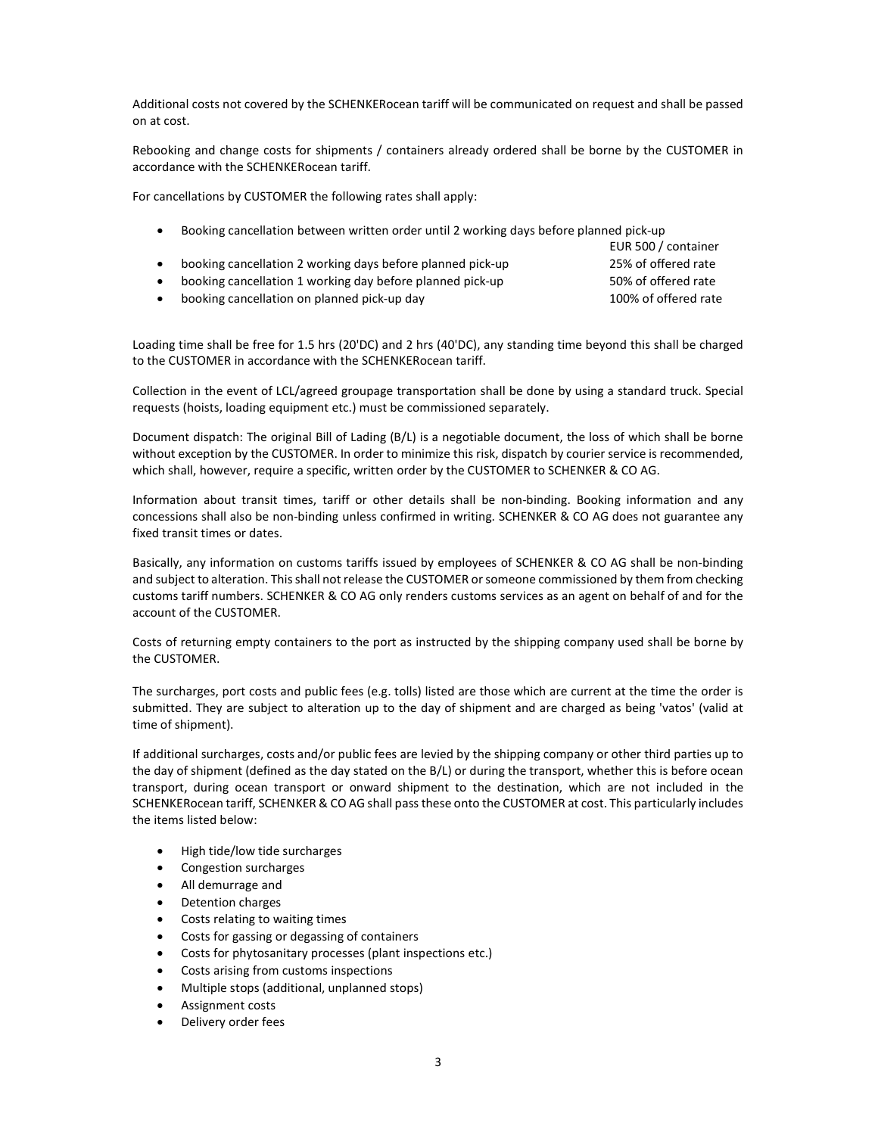Additional costs not covered by the SCHENKERocean tariff will be communicated on request and shall be passed on at cost.

Rebooking and change costs for shipments / containers already ordered shall be borne by the CUSTOMER in accordance with the SCHENKERocean tariff.

For cancellations by CUSTOMER the following rates shall apply:

| Booking cancellation between written order until 2 working days before planned pick-up |                     |
|----------------------------------------------------------------------------------------|---------------------|
|                                                                                        | EUR 500 / container |
| booking cancellation 2 working days before planned pick-up                             | 25% of offered rate |
| booking cancellation 1 working day before planned pick-up                              | 50% of offered rate |
|                                                                                        |                     |

booking cancellation on planned pick-up day 100% of offered rate

Loading time shall be free for 1.5 hrs (20'DC) and 2 hrs (40'DC), any standing time beyond this shall be charged to the CUSTOMER in accordance with the SCHENKERocean tariff.

Collection in the event of LCL/agreed groupage transportation shall be done by using a standard truck. Special requests (hoists, loading equipment etc.) must be commissioned separately.

Document dispatch: The original Bill of Lading (B/L) is a negotiable document, the loss of which shall be borne without exception by the CUSTOMER. In order to minimize this risk, dispatch by courier service is recommended, which shall, however, require a specific, written order by the CUSTOMER to SCHENKER & CO AG.

Information about transit times, tariff or other details shall be non-binding. Booking information and any concessions shall also be non-binding unless confirmed in writing. SCHENKER & CO AG does not guarantee any fixed transit times or dates.

Basically, any information on customs tariffs issued by employees of SCHENKER & CO AG shall be non-binding and subject to alteration. This shall not release the CUSTOMER or someone commissioned by them from checking customs tariff numbers. SCHENKER & CO AG only renders customs services as an agent on behalf of and for the account of the CUSTOMER.

Costs of returning empty containers to the port as instructed by the shipping company used shall be borne by the CUSTOMER.

The surcharges, port costs and public fees (e.g. tolls) listed are those which are current at the time the order is submitted. They are subject to alteration up to the day of shipment and are charged as being 'vatos' (valid at time of shipment).

If additional surcharges, costs and/or public fees are levied by the shipping company or other third parties up to the day of shipment (defined as the day stated on the B/L) or during the transport, whether this is before ocean transport, during ocean transport or onward shipment to the destination, which are not included in the SCHENKERocean tariff, SCHENKER & CO AG shall pass these onto the CUSTOMER at cost. This particularly includes the items listed below:

- High tide/low tide surcharges
- Congestion surcharges
- All demurrage and
- Detention charges
- Costs relating to waiting times
- Costs for gassing or degassing of containers
- Costs for phytosanitary processes (plant inspections etc.)
- Costs arising from customs inspections
- Multiple stops (additional, unplanned stops)
- Assignment costs
- Delivery order fees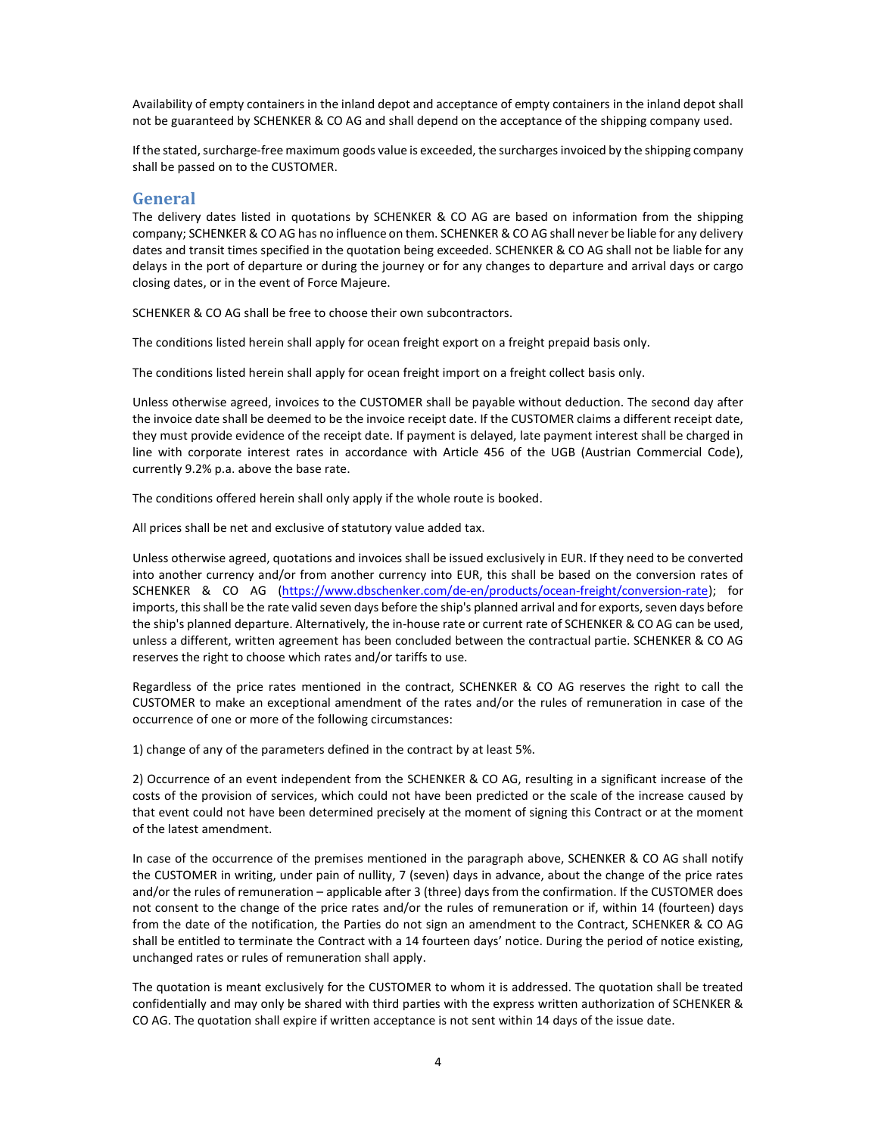Availability of empty containers in the inland depot and acceptance of empty containers in the inland depot shall not be guaranteed by SCHENKER & CO AG and shall depend on the acceptance of the shipping company used.

If the stated, surcharge-free maximum goods value is exceeded, the surcharges invoiced by the shipping company shall be passed on to the CUSTOMER.

## General

The delivery dates listed in quotations by SCHENKER & CO AG are based on information from the shipping company; SCHENKER & CO AG has no influence on them. SCHENKER & CO AG shall never be liable for any delivery dates and transit times specified in the quotation being exceeded. SCHENKER & CO AG shall not be liable for any delays in the port of departure or during the journey or for any changes to departure and arrival days or cargo closing dates, or in the event of Force Majeure.

SCHENKER & CO AG shall be free to choose their own subcontractors.

The conditions listed herein shall apply for ocean freight export on a freight prepaid basis only.

The conditions listed herein shall apply for ocean freight import on a freight collect basis only.

Unless otherwise agreed, invoices to the CUSTOMER shall be payable without deduction. The second day after the invoice date shall be deemed to be the invoice receipt date. If the CUSTOMER claims a different receipt date, they must provide evidence of the receipt date. If payment is delayed, late payment interest shall be charged in line with corporate interest rates in accordance with Article 456 of the UGB (Austrian Commercial Code), currently 9.2% p.a. above the base rate.

The conditions offered herein shall only apply if the whole route is booked.

All prices shall be net and exclusive of statutory value added tax.

Unless otherwise agreed, quotations and invoices shall be issued exclusively in EUR. If they need to be converted into another currency and/or from another currency into EUR, this shall be based on the conversion rates of SCHENKER & CO AG (https://www.dbschenker.com/de-en/products/ocean-freight/conversion-rate); for imports, this shall be the rate valid seven days before the ship's planned arrival and for exports, seven days before the ship's planned departure. Alternatively, the in-house rate or current rate of SCHENKER & CO AG can be used, unless a different, written agreement has been concluded between the contractual partie. SCHENKER & CO AG reserves the right to choose which rates and/or tariffs to use.

Regardless of the price rates mentioned in the contract, SCHENKER & CO AG reserves the right to call the CUSTOMER to make an exceptional amendment of the rates and/or the rules of remuneration in case of the occurrence of one or more of the following circumstances:

1) change of any of the parameters defined in the contract by at least 5%.

2) Occurrence of an event independent from the SCHENKER & CO AG, resulting in a significant increase of the costs of the provision of services, which could not have been predicted or the scale of the increase caused by that event could not have been determined precisely at the moment of signing this Contract or at the moment of the latest amendment.

In case of the occurrence of the premises mentioned in the paragraph above, SCHENKER & CO AG shall notify the CUSTOMER in writing, under pain of nullity, 7 (seven) days in advance, about the change of the price rates and/or the rules of remuneration – applicable after 3 (three) days from the confirmation. If the CUSTOMER does not consent to the change of the price rates and/or the rules of remuneration or if, within 14 (fourteen) days from the date of the notification, the Parties do not sign an amendment to the Contract, SCHENKER & CO AG shall be entitled to terminate the Contract with a 14 fourteen days' notice. During the period of notice existing, unchanged rates or rules of remuneration shall apply.

The quotation is meant exclusively for the CUSTOMER to whom it is addressed. The quotation shall be treated confidentially and may only be shared with third parties with the express written authorization of SCHENKER & CO AG. The quotation shall expire if written acceptance is not sent within 14 days of the issue date.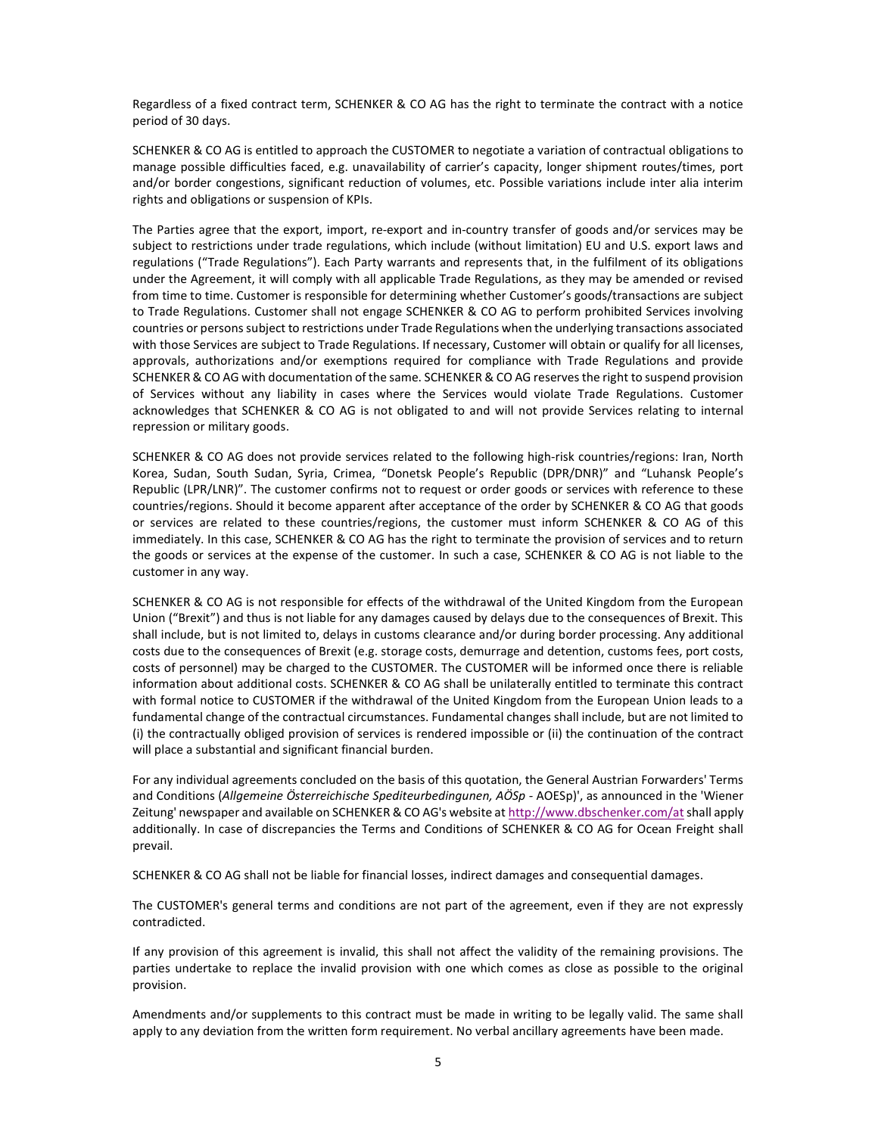Regardless of a fixed contract term, SCHENKER & CO AG has the right to terminate the contract with a notice period of 30 days.

SCHENKER & CO AG is entitled to approach the CUSTOMER to negotiate a variation of contractual obligations to manage possible difficulties faced, e.g. unavailability of carrier's capacity, longer shipment routes/times, port and/or border congestions, significant reduction of volumes, etc. Possible variations include inter alia interim rights and obligations or suspension of KPIs.

The Parties agree that the export, import, re-export and in-country transfer of goods and/or services may be subject to restrictions under trade regulations, which include (without limitation) EU and U.S. export laws and regulations ("Trade Regulations"). Each Party warrants and represents that, in the fulfilment of its obligations under the Agreement, it will comply with all applicable Trade Regulations, as they may be amended or revised from time to time. Customer is responsible for determining whether Customer's goods/transactions are subject to Trade Regulations. Customer shall not engage SCHENKER & CO AG to perform prohibited Services involving countries or persons subject to restrictions under Trade Regulations when the underlying transactions associated with those Services are subject to Trade Regulations. If necessary, Customer will obtain or qualify for all licenses, approvals, authorizations and/or exemptions required for compliance with Trade Regulations and provide SCHENKER & CO AG with documentation of the same. SCHENKER & CO AG reserves the right to suspend provision of Services without any liability in cases where the Services would violate Trade Regulations. Customer acknowledges that SCHENKER & CO AG is not obligated to and will not provide Services relating to internal repression or military goods.

SCHENKER & CO AG does not provide services related to the following high-risk countries/regions: Iran, North Korea, Sudan, South Sudan, Syria, Crimea, "Donetsk People's Republic (DPR/DNR)" and "Luhansk People's Republic (LPR/LNR)". The customer confirms not to request or order goods or services with reference to these countries/regions. Should it become apparent after acceptance of the order by SCHENKER & CO AG that goods or services are related to these countries/regions, the customer must inform SCHENKER & CO AG of this immediately. In this case, SCHENKER & CO AG has the right to terminate the provision of services and to return the goods or services at the expense of the customer. In such a case, SCHENKER & CO AG is not liable to the customer in any way.

SCHENKER & CO AG is not responsible for effects of the withdrawal of the United Kingdom from the European Union ("Brexit") and thus is not liable for any damages caused by delays due to the consequences of Brexit. This shall include, but is not limited to, delays in customs clearance and/or during border processing. Any additional costs due to the consequences of Brexit (e.g. storage costs, demurrage and detention, customs fees, port costs, costs of personnel) may be charged to the CUSTOMER. The CUSTOMER will be informed once there is reliable information about additional costs. SCHENKER & CO AG shall be unilaterally entitled to terminate this contract with formal notice to CUSTOMER if the withdrawal of the United Kingdom from the European Union leads to a fundamental change of the contractual circumstances. Fundamental changes shall include, but are not limited to (i) the contractually obliged provision of services is rendered impossible or (ii) the continuation of the contract will place a substantial and significant financial burden.

For any individual agreements concluded on the basis of this quotation, the General Austrian Forwarders' Terms and Conditions (Allgemeine Österreichische Spediteurbedingunen, AÖSp - AOESp)', as announced in the 'Wiener Zeitung' newspaper and available on SCHENKER & CO AG's website at http://www.dbschenker.com/at shall apply additionally. In case of discrepancies the Terms and Conditions of SCHENKER & CO AG for Ocean Freight shall prevail.

SCHENKER & CO AG shall not be liable for financial losses, indirect damages and consequential damages.

The CUSTOMER's general terms and conditions are not part of the agreement, even if they are not expressly contradicted.

If any provision of this agreement is invalid, this shall not affect the validity of the remaining provisions. The parties undertake to replace the invalid provision with one which comes as close as possible to the original provision.

Amendments and/or supplements to this contract must be made in writing to be legally valid. The same shall apply to any deviation from the written form requirement. No verbal ancillary agreements have been made.